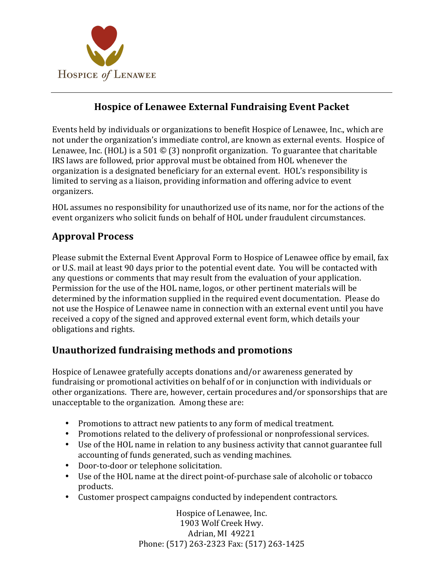

### **Hospice of Lenawee External Fundraising Event Packet**

Events held by individuals or organizations to benefit Hospice of Lenawee, Inc., which are not under the organization's immediate control, are known as external events. Hospice of Lenawee, Inc. (HOL) is a 501  $\odot$  (3) nonprofit organization. To guarantee that charitable IRS laws are followed, prior approval must be obtained from HOL whenever the organization is a designated beneficiary for an external event. HOL's responsibility is limited to serving as a liaison, providing information and offering advice to event organizers.

HOL assumes no responsibility for unauthorized use of its name, nor for the actions of the event organizers who solicit funds on behalf of HOL under fraudulent circumstances.

## **Approval Process**

Please submit the External Event Approval Form to Hospice of Lenawee office by email, fax or U.S. mail at least 90 days prior to the potential event date. You will be contacted with any questions or comments that may result from the evaluation of your application. Permission for the use of the HOL name, logos, or other pertinent materials will be determined by the information supplied in the required event documentation. Please do not use the Hospice of Lenawee name in connection with an external event until you have received a copy of the signed and approved external event form, which details your obligations and rights.

### **Unauthorized fundraising methods and promotions**

Hospice of Lenawee gratefully accepts donations and/or awareness generated by fundraising or promotional activities on behalf of or in conjunction with individuals or other organizations. There are, however, certain procedures and/or sponsorships that are unacceptable to the organization. Among these are:

- Promotions to attract new patients to any form of medical treatment.
- Promotions related to the delivery of professional or nonprofessional services.
- Use of the HOL name in relation to any business activity that cannot guarantee full accounting of funds generated, such as vending machines.
- Door-to-door or telephone solicitation.
- Use of the HOL name at the direct point-of-purchase sale of alcoholic or tobacco products.
- Customer prospect campaigns conducted by independent contractors.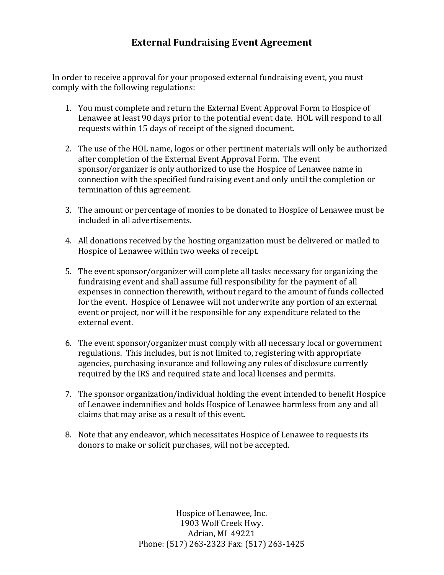#### **External Fundraising Event Agreement**

In order to receive approval for your proposed external fundraising event, you must comply with the following regulations:

- 1. You must complete and return the External Event Approval Form to Hospice of Lenawee at least 90 days prior to the potential event date. HOL will respond to all requests within 15 days of receipt of the signed document.
- 2. The use of the HOL name, logos or other pertinent materials will only be authorized after completion of the External Event Approval Form. The event sponsor/organizer is only authorized to use the Hospice of Lenawee name in connection with the specified fundraising event and only until the completion or termination of this agreement.
- 3. The amount or percentage of monies to be donated to Hospice of Lenawee must be included in all advertisements.
- 4. All donations received by the hosting organization must be delivered or mailed to Hospice of Lenawee within two weeks of receipt.
- 5. The event sponsor/organizer will complete all tasks necessary for organizing the fundraising event and shall assume full responsibility for the payment of all expenses in connection therewith, without regard to the amount of funds collected for the event. Hospice of Lenawee will not underwrite any portion of an external event or project, nor will it be responsible for any expenditure related to the external event.
- 6. The event sponsor/organizer must comply with all necessary local or government regulations. This includes, but is not limited to, registering with appropriate agencies, purchasing insurance and following any rules of disclosure currently required by the IRS and required state and local licenses and permits.
- 7. The sponsor organization/individual holding the event intended to benefit Hospice of Lenawee indemnifies and holds Hospice of Lenawee harmless from any and all claims that may arise as a result of this event.
- 8. Note that any endeavor, which necessitates Hospice of Lenawee to requests its donors to make or solicit purchases, will not be accepted.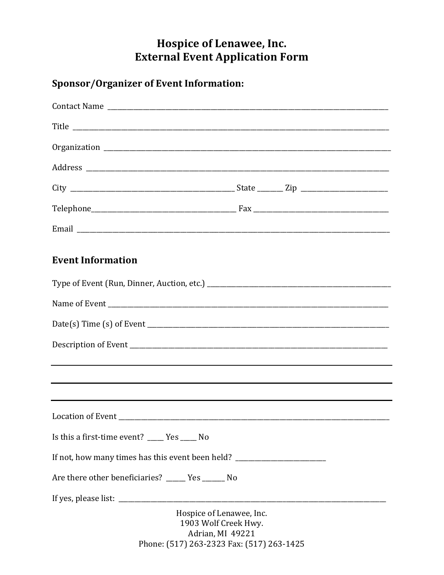# Hospice of Lenawee, Inc. **External Event Application Form**

# **Sponsor/Organizer of Event Information:**

| Title                                                                            |                                                                                                                   |  |
|----------------------------------------------------------------------------------|-------------------------------------------------------------------------------------------------------------------|--|
|                                                                                  |                                                                                                                   |  |
|                                                                                  |                                                                                                                   |  |
|                                                                                  |                                                                                                                   |  |
|                                                                                  |                                                                                                                   |  |
|                                                                                  |                                                                                                                   |  |
| <b>Event Information</b>                                                         |                                                                                                                   |  |
|                                                                                  |                                                                                                                   |  |
|                                                                                  |                                                                                                                   |  |
|                                                                                  |                                                                                                                   |  |
|                                                                                  |                                                                                                                   |  |
|                                                                                  |                                                                                                                   |  |
|                                                                                  |                                                                                                                   |  |
|                                                                                  |                                                                                                                   |  |
| Is this a first-time event? _____ Yes _____ No                                   |                                                                                                                   |  |
| If not, how many times has this event been held? _______________________________ |                                                                                                                   |  |
| Are there other beneficiaries? _____ Yes ______ No                               |                                                                                                                   |  |
|                                                                                  |                                                                                                                   |  |
|                                                                                  | Hospice of Lenawee, Inc.<br>1903 Wolf Creek Hwy.<br>Adrian, MI 49221<br>Phone: (517) 263-2323 Fax: (517) 263-1425 |  |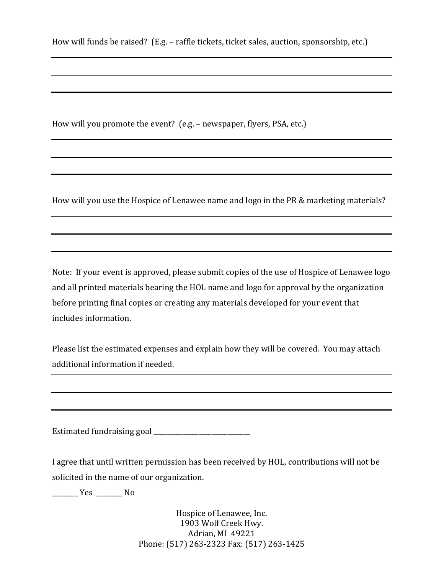How will you promote the event? (e.g. – newspaper, flyers, PSA, etc.)

How will you use the Hospice of Lenawee name and logo in the PR & marketing materials?

Note: If your event is approved, please submit copies of the use of Hospice of Lenawee logo and all printed materials bearing the HOL name and logo for approval by the organization before printing final copies or creating any materials developed for your event that includes information.

Please list the estimated expenses and explain how they will be covered. You may attach additional information if needed.

Estimated fundraising goal  $\frac{1}{2}$ 

I agree that until written permission has been received by HOL, contributions will not be solicited in the name of our organization.

\_\_\_\_\_\_\_\_ Yes \_\_\_\_\_\_\_ No